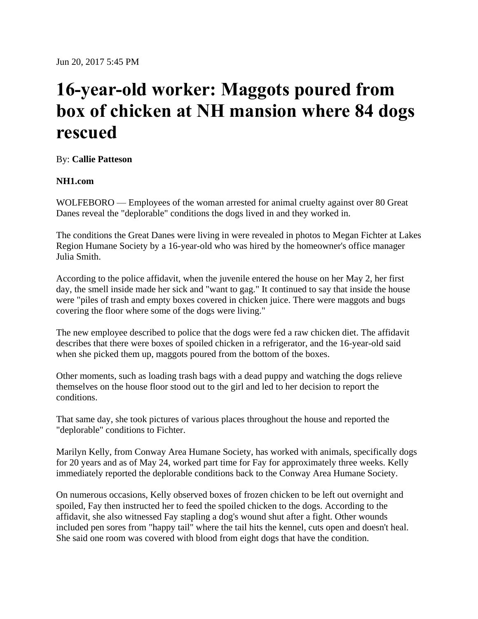Jun 20, 2017 5:45 PM

## **16-year-old worker: Maggots poured from box of chicken at NH mansion where 84 dogs rescued**

## By: **Callie Patteson**

## **NH1.com**

WOLFEBORO — Employees of the woman arrested for animal cruelty against over 80 Great Danes reveal the "deplorable" conditions the dogs lived in and they worked in.

The conditions the Great Danes were living in were revealed in photos to Megan Fichter at Lakes Region Humane Society by a 16-year-old who was hired by the homeowner's office manager Julia Smith.

According to the police affidavit, when the juvenile entered the house on her May 2, her first day, the smell inside made her sick and "want to gag." It continued to say that inside the house were "piles of trash and empty boxes covered in chicken juice. There were maggots and bugs covering the floor where some of the dogs were living."

The new employee described to police that the dogs were fed a raw chicken diet. The affidavit describes that there were boxes of spoiled chicken in a refrigerator, and the 16-year-old said when she picked them up, maggots poured from the bottom of the boxes.

Other moments, such as loading trash bags with a dead puppy and watching the dogs relieve themselves on the house floor stood out to the girl and led to her decision to report the conditions.

That same day, she took pictures of various places throughout the house and reported the "deplorable" conditions to Fichter.

Marilyn Kelly, from Conway Area Humane Society, has worked with animals, specifically dogs for 20 years and as of May 24, worked part time for Fay for approximately three weeks. Kelly immediately reported the deplorable conditions back to the Conway Area Humane Society.

On numerous occasions, Kelly observed boxes of frozen chicken to be left out overnight and spoiled, Fay then instructed her to feed the spoiled chicken to the dogs. According to the affidavit, she also witnessed Fay stapling a dog's wound shut after a fight. Other wounds included pen sores from "happy tail" where the tail hits the kennel, cuts open and doesn't heal. She said one room was covered with blood from eight dogs that have the condition.